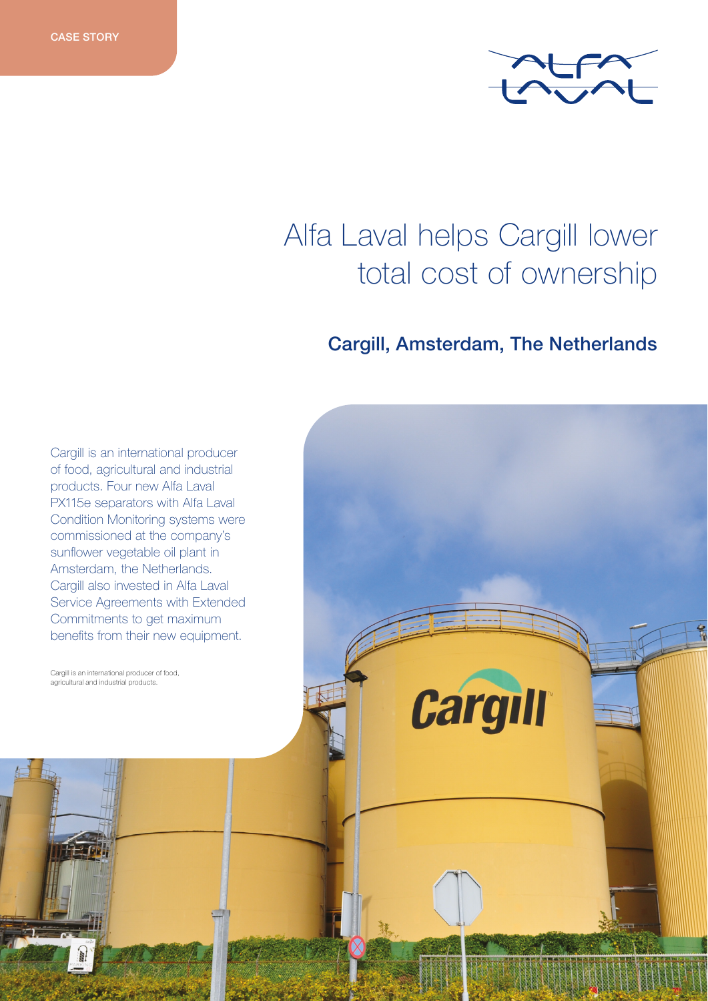

# Alfa Laval helps Cargill lower total cost of ownership

## Cargill, Amsterdam, The Netherlands

Cargill is an international producer of food, agricultural and industrial products. Four new Alfa Laval PX115e separators with Alfa Laval Condition Monitoring systems were commissioned at the company's sunflower vegetable oil plant in Amsterdam, the Netherlands. Cargill also invested in Alfa Laval Service Agreements with Extended Commitments to get maximum benefits from their new equipment.

Cargill is an international producer of food, agricultural and industrial products.